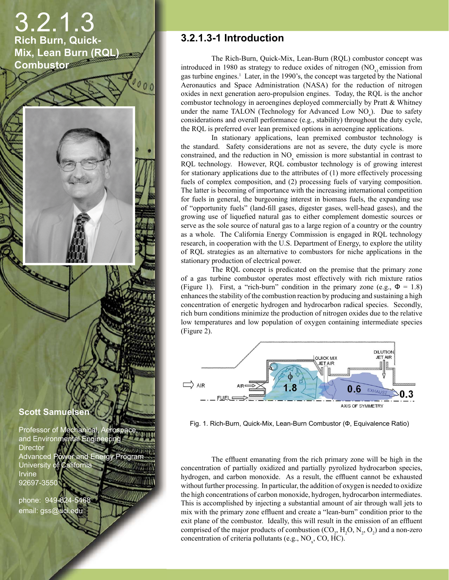# 3.2.1.3 **Rich Burn, Quick-Mix, Lean Burn (RQL) Combustor**

000

**Scott Samuelsen**

**CONTROLLER** 

Professor of Mechanical, Aerospace, **and Environmental Engineering Director** Advanced Power and Energy Program University of California Irvine 92697-3550

phone: 949-824-5468 email: gss@uci.edu

#### **3.2.1.3-1 Introduction**

The Rich-Burn, Quick-Mix, Lean-Burn (RQL) combustor concept was introduced in 1980 as strategy to reduce oxides of nitrogen (NO<sub>x</sub> emission from gas turbine engines.<sup>1</sup> Later, in the 1990's, the concept was targeted by the National Aeronautics and Space Administration (NASA) for the reduction of nitrogen oxides in next generation aero-propulsion engines. Today, the RQL is the anchor combustor technology in aeroengines deployed commercially by Pratt & Whitney under the name TALON (Technology for Advanced Low  $NO<sub>x</sub>$ ). Due to safety considerations and overall performance (e.g., stability) throughout the duty cycle, the RQL is preferred over lean premixed options in aeroengine applications.

In stationary applications, lean premixed combustor technology is the standard. Safety considerations are not as severe, the duty cycle is more constrained, and the reduction in  $NO<sub>x</sub>$  emission is more substantial in contrast to RQL technology. However, RQL combustor technology is of growing interest for stationary applications due to the attributes of (1) more effectively processing fuels of complex composition, and (2) processing fuels of varying composition. The latter is becoming of importance with the increasing international competition for fuels in general, the burgeoning interest in biomass fuels, the expanding use of "opportunity fuels" (land-fill gases, digester gases, well-head gases), and the growing use of liquefied natural gas to either complement domestic sources or serve as the sole source of natural gas to a large region of a country or the country as a whole. The California Energy Commission is engaged in RQL technology research, in cooperation with the U.S. Department of Energy, to explore the utility of RQL strategies as an alternative to combustors for niche applications in the stationary production of electrical power.

The RQL concept is predicated on the premise that the primary zone of a gas turbine combustor operates most effectively with rich mixture ratios (Figure 1). First, a "rich-burn" condition in the primary zone (e.g.,  $\Phi = 1.8$ ) enhances the stability of the combustion reaction by producing and sustaining a high concentration of energetic hydrogen and hydrocarbon radical species. Secondly, rich burn conditions minimize the production of nitrogen oxides due to the relative low temperatures and low population of oxygen containing intermediate species (Figure 2).



Fig. 1. Rich-Burn, Quick-Mix, Lean-Burn Combustor (Ф, Equivalence Ratio)

The effluent emanating from the rich primary zone will be high in the concentration of partially oxidized and partially pyrolized hydrocarbon species, hydrogen, and carbon monoxide. As a result, the effluent cannot be exhausted without further processing. In particular, the addition of oxygen is needed to oxidize the high concentrations of carbon monoxide, hydrogen, hydrocarbon intermediates. This is accomplished by injecting a substantial amount of air through wall jets to mix with the primary zone effluent and create a "lean-burn" condition prior to the exit plane of the combustor. Ideally, this will result in the emission of an effluent comprised of the major products of combustion  $(CO_2, H_2O, N_2, O_2)$  and a non-zero concentration of criteria pollutants (e.g.,  $NO<sub>x</sub>$ , CO, HC).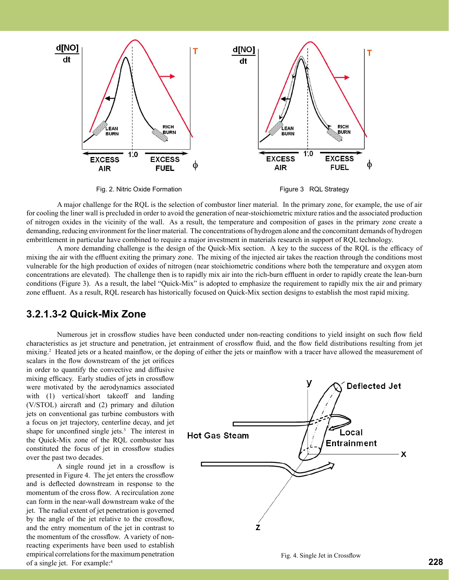

Fig. 2. Nitric Oxide Formation **Figure 3 RQL Strategy** 



A major challenge for the RQL is the selection of combustor liner material. In the primary zone, for example, the use of air for cooling the liner wall is precluded in order to avoid the generation of near-stoichiometric mixture ratios and the associated production of nitrogen oxides in the vicinity of the wall. As a result, the temperature and composition of gases in the primary zone create a demanding, reducing environment for the liner material. The concentrations of hydrogen alone and the concomitant demands of hydrogen embrittlement in particular have combined to require a major investment in materials research in support of RQL technology.

A more demanding challenge is the design of the Quick-Mix section. A key to the success of the RQL is the efficacy of mixing the air with the effluent exiting the primary zone. The mixing of the injected air takes the reaction through the conditions most vulnerable for the high production of oxides of nitrogen (near stoichiometric conditions where both the temperature and oxygen atom concentrations are elevated). The challenge then is to rapidly mix air into the rich-burn effluent in order to rapidly create the lean-burn conditions (Figure 3). As a result, the label "Quick-Mix" is adopted to emphasize the requirement to rapidly mix the air and primary zone effluent. As a result, RQL research has historically focused on Quick-Mix section designs to establish the most rapid mixing.

#### **3.2.1.3-2 Quick-Mix Zone**

Numerous jet in crossflow studies have been conducted under non-reacting conditions to yield insight on such flow field characteristics as jet structure and penetration, jet entrainment of crossflow fluid, and the flow field distributions resulting from jet mixing.<sup>2</sup> Heated jets or a heated mainflow, or the doping of either the jets or mainflow with a tracer have allowed the measurement of

scalars in the flow downstream of the jet orifices in order to quantify the convective and diffusive mixing efficacy. Early studies of jets in crossflow were motivated by the aerodynamics associated with (1) vertical/short takeoff and landing (V/STOL) aircraft and (2) primary and dilution jets on conventional gas turbine combustors with a focus on jet trajectory, centerline decay, and jet shape for unconfined single jets. $3$  The interest in the Quick-Mix zone of the RQL combustor has constituted the focus of jet in crossflow studies over the past two decades.

A single round jet in a crossflow is presented in Figure 4. The jet enters the crossflow and is deflected downstream in response to the momentum of the cross flow. A recirculation zone can form in the near-wall downstream wake of the jet. The radial extent of jet penetration is governed by the angle of the jet relative to the crossflow, and the entry momentum of the jet in contrast to the momentum of the crossflow. A variety of nonreacting experiments have been used to establish empirical correlations for the maximum penetration of a single jet. For example:4

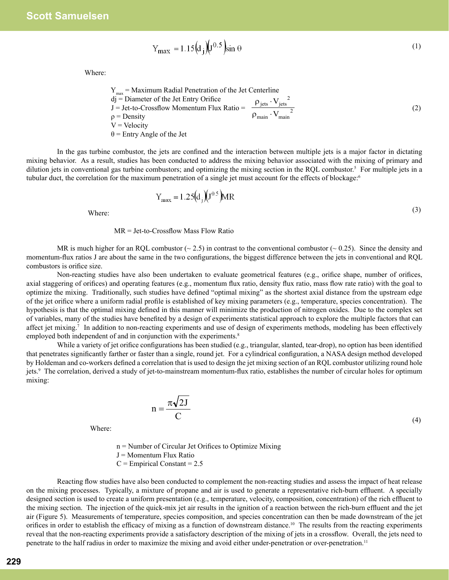$$
Y_{\text{max}} = 1.15 \left( d_j \right) \left( J^{0.5} \right) \sin \theta \tag{1}
$$

Where:

$$
Y_{max} = \text{Maximum Radial Penetration of the Jet Centerline} \ndj = \text{Diameter of the Jet Entry Orifice} \nJ = Jet-to-Crossflow Momentum Flux Ratio = \frac{\rho_{jets} \cdot V_{jets}^2}{\rho_{main} \cdot V_{main}^2}
$$
\n
$$
\rho = \text{Density} \nV = Velocity
$$
\n(2)

In the gas turbine combustor, the jets are confined and the interaction between multiple jets is a major factor in dictating mixing behavior. As a result, studies has been conducted to address the mixing behavior associated with the mixing of primary and dilution jets in conventional gas turbine combustors; and optimizing the mixing section in the RQL combustor.<sup>5</sup> For multiple jets in a tubular duct, the correlation for the maximum penetration of a single jet must account for the effects of blockage:<sup>6</sup>

> $Y_{\text{max}} = 1.25(d_i)(J^{0.5})MR$ Where:  $(3)$

MR = Jet-to-Crossflow Mass Flow Ratio

MR is much higher for an RQL combustor  $\sim$  2.5) in contrast to the conventional combustor  $\sim$  0.25). Since the density and momentum-flux ratios J are about the same in the two configurations, the biggest difference between the jets in conventional and RQL combustors is orifice size.

Non-reacting studies have also been undertaken to evaluate geometrical features (e.g., orifice shape, number of orifices, axial staggering of orifices) and operating features (e.g., momentum flux ratio, density flux ratio, mass flow rate ratio) with the goal to optimize the mixing. Traditionally, such studies have defined "optimal mixing" as the shortest axial distance from the upstream edge of the jet orifice where a uniform radial profile is established of key mixing parameters (e.g., temperature, species concentration). The hypothesis is that the optimal mixing defined in this manner will minimize the production of nitrogen oxides. Due to the complex set of variables, many of the studies have benefited by a design of experiments statistical approach to explore the multiple factors that can affect jet mixing.<sup>7</sup> In addition to non-reacting experiments and use of design of experiments methods, modeling has been effectively employed both independent of and in conjunction with the experiments.<sup>8</sup>

While a variety of jet orifice configurations has been studied (e.g., triangular, slanted, tear-drop), no option has been identified that penetrates significantly farther or faster than a single, round jet. For a cylindrical configuration, a NASA design method developed by Holdeman and co-workers defined a correlation that is used to design the jet mixing section of an RQL combustor utilizing round hole jets.<sup>9</sup> The correlation, derived a study of jet-to-mainstream momentum-flux ratio, establishes the number of circular holes for optimum mixing:

$$
n = \frac{\pi\sqrt{2J}}{C}
$$
 (4)

Where:

 n = Number of Circular Jet Orifices to Optimize Mixing J = Momentum Flux Ratio  $C =$  Empirical Constant = 2.5

Reacting flow studies have also been conducted to complement the non-reacting studies and assess the impact of heat release on the mixing processes. Typically, a mixture of propane and air is used to generate a representative rich-burn effluent. A specially designed section is used to create a uniform presentation (e.g., temperature, velocity, composition, concentration) of the rich effluent to the mixing section. The injection of the quick-mix jet air results in the ignition of a reaction between the rich-burn effluent and the jet air (Figure 5). Measurements of temperature, species composition, and species concentration can then be made downstream of the jet orifices in order to establish the efficacy of mixing as a function of downstream distance.10 The results from the reacting experiments reveal that the non-reacting experiments provide a satisfactory description of the mixing of jets in a crossflow. Overall, the jets need to penetrate to the half radius in order to maximize the mixing and avoid either under-penetration or over-penetration.<sup>11</sup>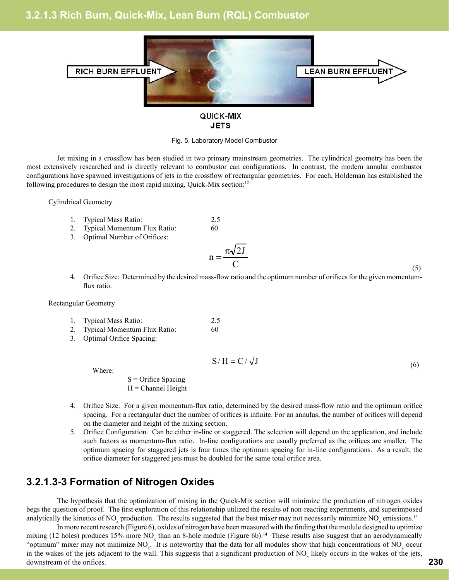#### **3.2.1.3 Rich Burn, Quick-Mix, Lean Burn (RQL) Combustor**



#### QUICK-MIX **JETS**

#### Fig. 5. Laboratory Model Combustor

Jet mixing in a crossflow has been studied in two primary mainstream geometries. The cylindrical geometry has been the most extensively researched and is directly relevant to combustor can configurations. In contrast, the modern annular combustor configurations have spawned investigations of jets in the crossflow of rectangular geometries. For each, Holdeman has established the following procedures to design the most rapid mixing, Quick-Mix section:<sup>12</sup>

Cylindrical Geometry

- 1. Typical Mass Ratio: 2.5
- 2. Typical Momentum Flux Ratio: 60
- 3. Optimal Number of Orifices:

$$
n = \frac{\pi \sqrt{2J}}{C}
$$
 (5)

4. Orifice Size: Determined by the desired mass-flow ratio and the optimum number of orifices for the given momentumflux ratio.

Rectangular Geometry

- 1. Typical Mass Ratio: 2.5
- 2. Typical Momentum Flux Ratio: 60
- 3. Optimal Orifice Spacing:

Where: 
$$
S/H = C/\sqrt{J}
$$
 (6)

 $S =$ Orifice Spacing

 $H =$ Channel Height

- 4. Orifice Size. For a given momentum-flux ratio, determined by the desired mass-flow ratio and the optimum orifice spacing. For a rectangular duct the number of orifices is infinite. For an annulus, the number of orifices will depend on the diameter and height of the mixing section.
- 5. Orifice Configuration. Can be either in-line or staggered. The selection will depend on the application, and include such factors as momentum-flux ratio. In-line configurations are usually preferred as the orifices are smaller. The optimum spacing for staggered jets is four times the optimum spacing for in-line configurations. As a result, the orifice diameter for staggered jets must be doubled for the same total orifice area.

#### **3.2.1.3-3 Formation of Nitrogen Oxides**

The hypothesis that the optimization of mixing in the Quick-Mix section will minimize the production of nitrogen oxides begs the question of proof. The first exploration of this relationship utilized the results of non-reacting experiments, and superimposed analytically the kinetics of NO<sub>x</sub> production. The results suggested that the best mixer may not necessarily minimize NO<sub>x</sub> emissions.<sup>13</sup>

In more recent research (Figure 6), oxides of nitrogen have been measured with the finding that the module designed to optimize mixing (12 holes) produces 15% more NO<sub>x</sub> than an 8-hole module (Figure 6b).<sup>14</sup> These results also suggest that an aerodynamically "optimum" mixer may not minimize  $NO_x$ . It is noteworthy that the data for all modules show that high concentrations of  $NO_x$  occur in the wakes of the jets adjacent to the wall. This suggests that a significant production of  $NO_x$  likely occurs in the wakes of the jets, downstream of the orifices.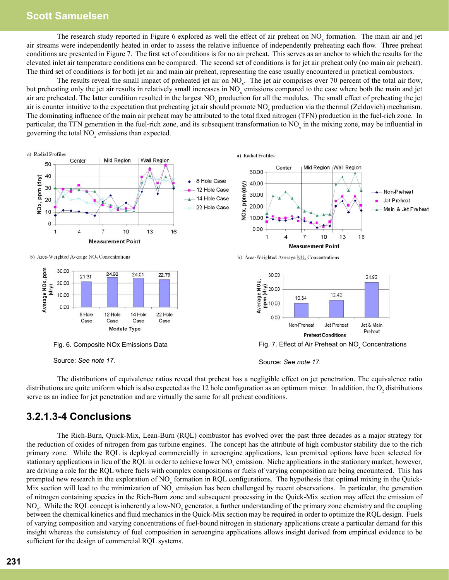#### **Scott Samuelsen**

The research study reported in Figure 6 explored as well the effect of air preheat on  $NO_x$  formation. The main air and jet air streams were independently heated in order to assess the relative influence of independently preheating each flow. Three preheat conditions are presented in Figure 7. The first set of conditions is for no air preheat. This serves as an anchor to which the results for the elevated inlet air temperature conditions can be compared. The second set of conditions is for jet air preheat only (no main air preheat). The third set of conditions is for both jet air and main air preheat, representing the case usually encountered in practical combustors.

The results reveal the small impact of preheated jet air on  $NO<sub>x</sub>$ . The jet air comprises over 70 percent of the total air flow, but preheating only the jet air results in relatively small increases in  $NO<sub>x</sub>$  emissions compared to the case where both the main and jet air are preheated. The latter condition resulted in the largest  $NO<sub>x</sub>$  production for all the modules. The small effect of preheating the jet air is counter intuitive to the expectation that preheating jet air should promote  $NO<sub>x</sub>$  production via the thermal (Zeldovich) mechanism. The dominating influence of the main air preheat may be attributed to the total fixed nitrogen (TFN) production in the fuel-rich zone. In particular, the TFN generation in the fuel-rich zone, and its subsequent transformation to  $NO<sub>x</sub>$  in the mixing zone, may be influential in governing the total  $NO<sub>x</sub>$  emissions than expected.



The distributions of equivalence ratios reveal that preheat has a negligible effect on jet penetration. The equivalence ratio distributions are quite uniform which is also expected as the 12 hole configuration as an optimum mixer. In addition, the  $O_2$  distributions serve as an indice for jet penetration and are virtually the same for all preheat conditions.

#### **3.2.1.3-4 Conclusions**

The Rich-Burn, Quick-Mix, Lean-Burn (RQL) combustor has evolved over the past three decades as a major strategy for the reduction of oxides of nitrogen from gas turbine engines. The concept has the attribute of high combustor stability due to the rich primary zone. While the RQL is deployed commercially in aeroengine applications, lean premixed options have been selected for stationary applications in lieu of the RQL in order to achieve lower  $NO<sub>x</sub>$  emission. Niche applications in the stationary market, however, are driving a role for the RQL where fuels with complex compositions or fuels of varying composition are being encountered. This has prompted new research in the exploration of  $NO<sub>x</sub>$  formation in RQL configurations. The hypothesis that optimal mixing in the Quick-Mix section will lead to the minimization of  $NO<sub>x</sub>$  emission has been challenged by recent observations. In particular, the generation of nitrogen containing species in the Rich-Burn zone and subsequent processing in the Quick-Mix section may affect the emission of NO<sub>x</sub>. While the RQL concept is inherently a low-NO<sub>x</sub> generator, a further understanding of the primary zone chemistry and the coupling between the chemical kinetics and fluid mechanics in the Quick-Mix section may be required in order to optimize the RQL design. Fuels of varying composition and varying concentrations of fuel-bound nitrogen in stationary applications create a particular demand for this insight whereas the consistency of fuel composition in aeroengine applications allows insight derived from empirical evidence to be sufficient for the design of commercial RQL systems.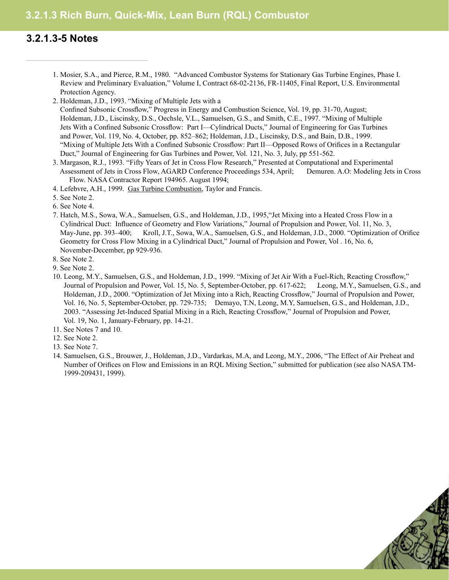## **3.2.1.3 Rich Burn, Quick-Mix, Lean Burn (RQL) Combustor**

### **3.2.1.3-5 Notes**

 $\mathcal{L}_\text{max}$  and  $\mathcal{L}_\text{max}$  and  $\mathcal{L}_\text{max}$  and  $\mathcal{L}_\text{max}$ 

- 1. Mosier, S.A., and Pierce, R.M., 1980. "Advanced Combustor Systems for Stationary Gas Turbine Engines, Phase I. Review and Preliminary Evaluation," Volume I, Contract 68-02-2136, FR-11405, Final Report, U.S. Environmental Protection Agency.
- 2. Holdeman, J.D., 1993. "Mixing of Multiple Jets with a Confined Subsonic Crossflow," Progress in Energy and Combustion Science, Vol. 19, pp. 31-70, August; Holdeman, J.D., Liscinsky, D.S., Oechsle, V.L., Samuelsen, G.S., and Smith, C.E., 1997. "Mixing of Multiple Jets With a Confined Subsonic Crossflow: Part I—Cylindrical Ducts," Journal of Engineering for Gas Turbines and Power, Vol. 119, No. 4, October, pp. 852–862; Holdeman, J.D., Liscinsky, D.S., and Bain, D.B., 1999. "Mixing of Multiple Jets With a Confined Subsonic Crossflow: Part II—Opposed Rows of Orifices in a Rectangular Duct," Journal of Engineering for Gas Turbines and Power, Vol. 121, No. 3, July, pp 551-562.
- 3. Margason, R.J., 1993. "Fifty Years of Jet in Cross Flow Research," Presented at Computational and Experimental Assessment of Jets in Cross Flow, AGARD Conference Proceedings 534, April; Demuren. A.O: Modeling Jets in Cross Flow. NASA Contractor Report 194965. August 1994;
- 4. Lefebvre, A.H., 1999. Gas Turbine Combustion, Taylor and Francis.
- 5. See Note 2.
- 6. See Note 4.
- 7. Hatch, M.S., Sowa, W.A., Samuelsen, G.S., and Holdeman, J.D., 1995,"Jet Mixing into a Heated Cross Flow in a Cylindrical Duct: Influence of Geometry and Flow Variations," Journal of Propulsion and Power, Vol. 11, No. 3, May-June, pp. 393–400; Kroll, J.T., Sowa, W.A., Samuelsen, G.S., and Holdeman, J.D., 2000. "Optimization of Orifice Geometry for Cross Flow Mixing in a Cylindrical Duct," Journal of Propulsion and Power, Vol . 16, No. 6, November-December, pp 929-936.
- 8. See Note 2.
- 9. See Note 2.
- 10. Leong, M.Y., Samuelsen, G.S., and Holdeman, J.D., 1999. "Mixing of Jet Air With a Fuel-Rich, Reacting Crossflow," Journal of Propulsion and Power, Vol. 15, No. 5, September-October, pp. 617-622; . Leong, M.Y., Samuelsen, G.S., and Holdeman, J.D., 2000. "Optimization of Jet Mixing into a Rich, Reacting Crossflow," Journal of Propulsion and Power, Vol. 16, No. 5, September-October, pp. 729-735; Demayo, T.N, Leong, M.Y, Samuelsen, G.S., and Holdeman, J.D., 2003. "Assessing Jet-Induced Spatial Mixing in a Rich, Reacting Crossflow," Journal of Propulsion and Power, Vol. 19, No. 1, January-February, pp. 14-21.
- 11. See Notes 7 and 10.
- 12. See Note 2.
- 13. See Note 7.
- 14. Samuelsen, G.S., Brouwer, J., Holdeman, J.D., Vardarkas, M.A, and Leong, M.Y., 2006, "The Effect of Air Preheat and Number of Orifices on Flow and Emissions in an RQL Mixing Section," submitted for publication (see also NASA TM-1999-209431, 1999).